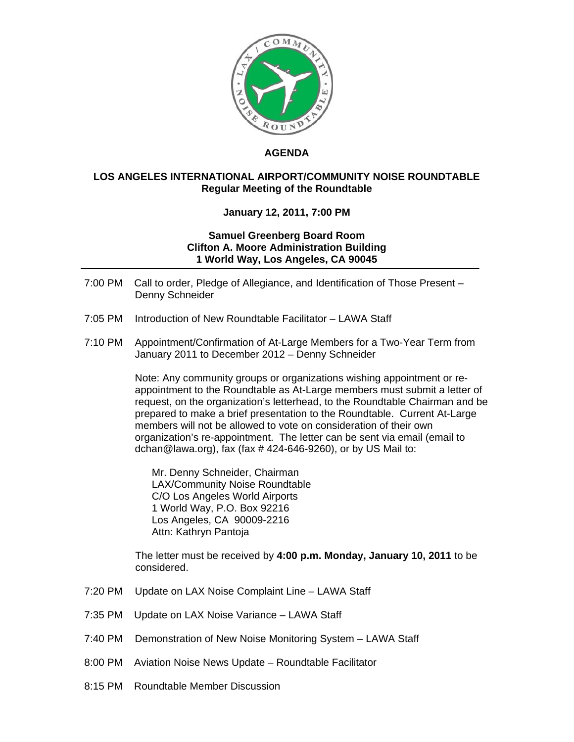

## **AGENDA**

## **LOS ANGELES INTERNATIONAL AIRPORT/COMMUNITY NOISE ROUNDTABLE Regular Meeting of the Roundtable**

## **January 12, 2011, 7:00 PM**

## **Samuel Greenberg Board Room Clifton A. Moore Administration Building 1 World Way, Los Angeles, CA 90045**

- 7:00 PM Call to order, Pledge of Allegiance, and Identification of Those Present Denny Schneider
- 7:05 PM Introduction of New Roundtable Facilitator LAWA Staff
- 7:10 PM Appointment/Confirmation of At-Large Members for a Two-Year Term from January 2011 to December 2012 – Denny Schneider

Note: Any community groups or organizations wishing appointment or reappointment to the Roundtable as At-Large members must submit a letter of request, on the organization's letterhead, to the Roundtable Chairman and be prepared to make a brief presentation to the Roundtable. Current At-Large members will not be allowed to vote on consideration of their own organization's re-appointment. The letter can be sent via email (email to dchan@lawa.org), fax (fax  $\#$  424-646-9260), or by US Mail to:

Mr. Denny Schneider, Chairman LAX/Community Noise Roundtable C/O Los Angeles World Airports 1 World Way, P.O. Box 92216 Los Angeles, CA 90009-2216 Attn: Kathryn Pantoja

 The letter must be received by **4:00 p.m. Monday, January 10, 2011** to be considered.

- 7:20 PM Update on LAX Noise Complaint Line LAWA Staff
- 7:35 PM Update on LAX Noise Variance LAWA Staff
- 7:40 PM Demonstration of New Noise Monitoring System LAWA Staff
- 8:00 PM Aviation Noise News Update Roundtable Facilitator
- 8:15 PM Roundtable Member Discussion